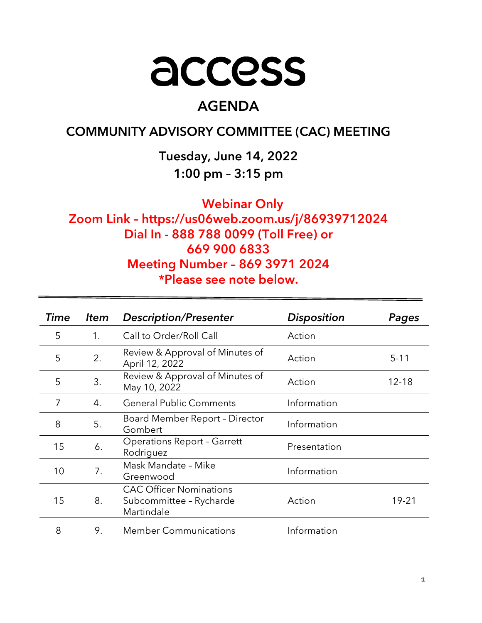# access

# AGENDA

# COMMUNITY ADVISORY COMMITTEE (CAC) MEETING

Tuesday, June 14, 2022 1:00 pm – 3:15 pm

Webinar Only

Zoom Link – https://us06web.zoom.us/j/86939712024 Dial In - 888 788 0099 (Toll Free) or 669 900 6833 Meeting Number – 869 3971 2024 \*Please see note below.

| Time | <b>Item</b>    | <b>Description/Presenter</b>                                            | <b>Disposition</b> | Pages     |
|------|----------------|-------------------------------------------------------------------------|--------------------|-----------|
| 5    | 1 <sub>1</sub> | Call to Order/Roll Call                                                 | Action             |           |
| 5    | 2.             | Review & Approval of Minutes of<br>April 12, 2022                       | Action             | $5 - 11$  |
| 5    | 3.             | Review & Approval of Minutes of<br>May 10, 2022                         | Action             | $12 - 18$ |
| 7    | 4.             | <b>General Public Comments</b>                                          | Information        |           |
| 8    | 5.             | Board Member Report - Director<br>Gombert                               | Information        |           |
| 15   | 6.             | <b>Operations Report - Garrett</b><br>Rodriguez                         | Presentation       |           |
| 10   | 7.             | Mask Mandate - Mike<br>Greenwood                                        | Information        |           |
| 15   | 8.             | <b>CAC Officer Nominations</b><br>Subcommittee - Rycharde<br>Martindale | Action             | 19-21     |
| 8    | 9.             | <b>Member Communications</b>                                            | Information        |           |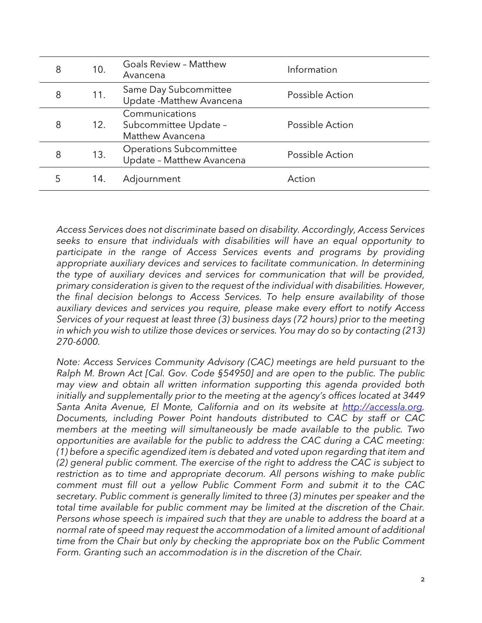| 8 | 10. | <b>Goals Review - Matthew</b><br>Avancena                   | Information     |
|---|-----|-------------------------------------------------------------|-----------------|
| 8 | 11. | Same Day Subcommittee<br>Update - Matthew Avancena          | Possible Action |
| 8 | 12. | Communications<br>Subcommittee Update -<br>Matthew Avancena | Possible Action |
| 8 | 13. | <b>Operations Subcommittee</b><br>Update - Matthew Avancena | Possible Action |
| 5 | 14. | Adjournment                                                 | Action          |
|   |     |                                                             |                 |

Access Services does not discriminate based on disability. Accordingly, Access Services seeks to ensure that individuals with disabilities will have an equal opportunity to participate in the range of Access Services events and programs by providing appropriate auxiliary devices and services to facilitate communication. In determining the type of auxiliary devices and services for communication that will be provided, primary consideration is given to the request of the individual with disabilities. However, the final decision belongs to Access Services. To help ensure availability of those auxiliary devices and services you require, please make every effort to notify Access Services of your request at least three (3) business days (72 hours) prior to the meeting in which you wish to utilize those devices or services. You may do so by contacting (213) 270-6000.

Note: Access Services Community Advisory (CAC) meetings are held pursuant to the Ralph M. Brown Act [Cal. Gov. Code §54950] and are open to the public. The public may view and obtain all written information supporting this agenda provided both initially and supplementally prior to the meeting at the agency's offices located at 3449 Santa Anita Avenue, El Monte, California and on its website at http://accessla.org. Documents, including Power Point handouts distributed to CAC by staff or CAC members at the meeting will simultaneously be made available to the public. Two opportunities are available for the public to address the CAC during a CAC meeting: (1) before a specific agendized item is debated and voted upon regarding that item and (2) general public comment. The exercise of the right to address the CAC is subject to restriction as to time and appropriate decorum. All persons wishing to make public comment must fill out a yellow Public Comment Form and submit it to the CAC secretary. Public comment is generally limited to three (3) minutes per speaker and the total time available for public comment may be limited at the discretion of the Chair. Persons whose speech is impaired such that they are unable to address the board at a normal rate of speed may request the accommodation of a limited amount of additional time from the Chair but only by checking the appropriate box on the Public Comment Form. Granting such an accommodation is in the discretion of the Chair.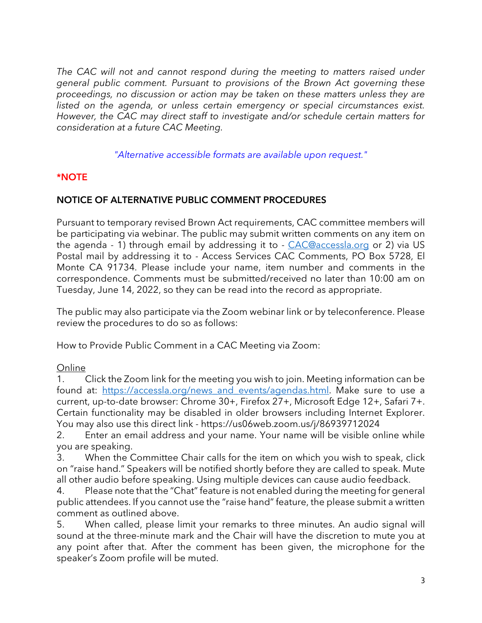The CAC will not and cannot respond during the meeting to matters raised under general public comment. Pursuant to provisions of the Brown Act governing these proceedings, no discussion or action may be taken on these matters unless they are listed on the agenda, or unless certain emergency or special circumstances exist. However, the CAC may direct staff to investigate and/or schedule certain matters for consideration at a future CAC Meeting.

"Alternative accessible formats are available upon request."

# \*NOTE

# NOTICE OF ALTERNATIVE PUBLIC COMMENT PROCEDURES

Pursuant to temporary revised Brown Act requirements, CAC committee members will be participating via webinar. The public may submit written comments on any item on the agenda - 1) through email by addressing it to - CAC@accessla.org or 2) via US Postal mail by addressing it to - Access Services CAC Comments, PO Box 5728, El Monte CA 91734. Please include your name, item number and comments in the correspondence. Comments must be submitted/received no later than 10:00 am on Tuesday, June 14, 2022, so they can be read into the record as appropriate.

The public may also participate via the Zoom webinar link or by teleconference. Please review the procedures to do so as follows:

How to Provide Public Comment in a CAC Meeting via Zoom:

# **Online**

1. Click the Zoom link for the meeting you wish to join. Meeting information can be found at: https://accessla.org/news and events/agendas.html. Make sure to use a current, up-to-date browser: Chrome 30+, Firefox 27+, Microsoft Edge 12+, Safari 7+. Certain functionality may be disabled in older browsers including Internet Explorer. You may also use this direct link - https://us06web.zoom.us/j/86939712024

2. Enter an email address and your name. Your name will be visible online while you are speaking.

3. When the Committee Chair calls for the item on which you wish to speak, click on "raise hand." Speakers will be notified shortly before they are called to speak. Mute all other audio before speaking. Using multiple devices can cause audio feedback.

4. Please note that the "Chat" feature is not enabled during the meeting for general public attendees. If you cannot use the "raise hand" feature, the please submit a written comment as outlined above.

5. When called, please limit your remarks to three minutes. An audio signal will sound at the three-minute mark and the Chair will have the discretion to mute you at any point after that. After the comment has been given, the microphone for the speaker's Zoom profile will be muted.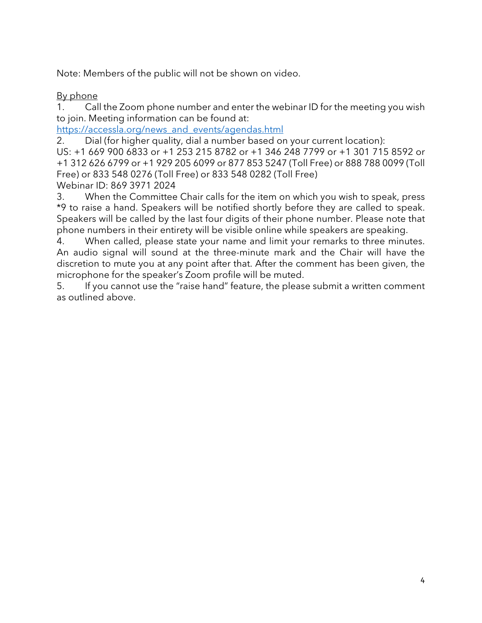Note: Members of the public will not be shown on video.

# By phone

1. Call the Zoom phone number and enter the webinar ID for the meeting you wish to join. Meeting information can be found at:

https://accessla.org/news\_and\_events/agendas.html

2. Dial (for higher quality, dial a number based on your current location):

US: +1 669 900 6833 or +1 253 215 8782 or +1 346 248 7799 or +1 301 715 8592 or +1 312 626 6799 or +1 929 205 6099 or 877 853 5247 (Toll Free) or 888 788 0099 (Toll Free) or 833 548 0276 (Toll Free) or 833 548 0282 (Toll Free) Webinar ID: 869 3971 2024

3. When the Committee Chair calls for the item on which you wish to speak, press \*9 to raise a hand. Speakers will be notified shortly before they are called to speak. Speakers will be called by the last four digits of their phone number. Please note that phone numbers in their entirety will be visible online while speakers are speaking.

4. When called, please state your name and limit your remarks to three minutes. An audio signal will sound at the three-minute mark and the Chair will have the discretion to mute you at any point after that. After the comment has been given, the microphone for the speaker's Zoom profile will be muted.

5. If you cannot use the "raise hand" feature, the please submit a written comment as outlined above.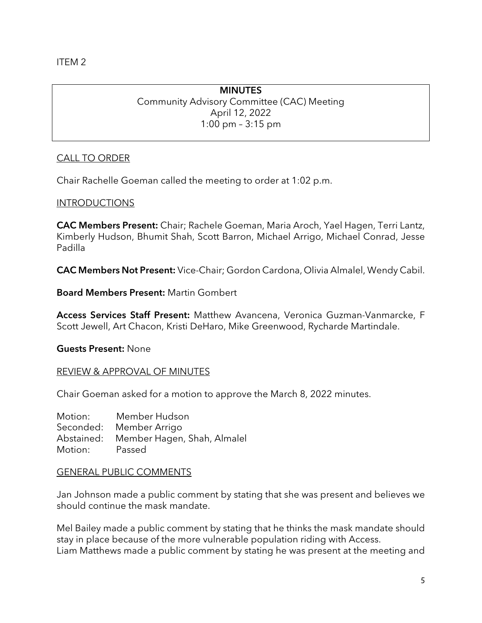ITEM 2

# **MINUTES** Community Advisory Committee (CAC) Meeting April 12, 2022 1:00 pm – 3:15 pm

# CALL TO ORDER

Chair Rachelle Goeman called the meeting to order at 1:02 p.m.

# INTRODUCTIONS

CAC Members Present: Chair; Rachele Goeman, Maria Aroch, Yael Hagen, Terri Lantz, Kimberly Hudson, Bhumit Shah, Scott Barron, Michael Arrigo, Michael Conrad, Jesse Padilla

CAC Members Not Present: Vice-Chair; Gordon Cardona, Olivia Almalel, Wendy Cabil.

Board Members Present: Martin Gombert

Access Services Staff Present: Matthew Avancena, Veronica Guzman-Vanmarcke, F Scott Jewell, Art Chacon, Kristi DeHaro, Mike Greenwood, Rycharde Martindale.

Guests Present: None

#### REVIEW & APPROVAL OF MINUTES

Chair Goeman asked for a motion to approve the March 8, 2022 minutes.

Motion: Member Hudson Seconded: Member Arrigo Abstained: Member Hagen, Shah, Almalel Motion: Passed

#### GENERAL PUBLIC COMMENTS

Jan Johnson made a public comment by stating that she was present and believes we should continue the mask mandate.

Mel Bailey made a public comment by stating that he thinks the mask mandate should stay in place because of the more vulnerable population riding with Access. Liam Matthews made a public comment by stating he was present at the meeting and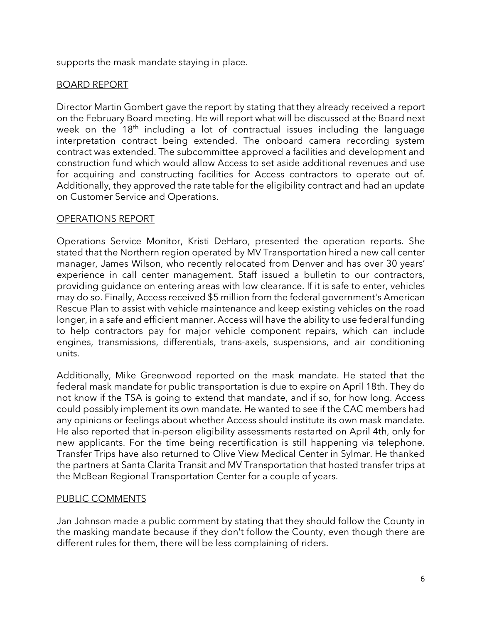supports the mask mandate staying in place.

# BOARD REPORT

Director Martin Gombert gave the report by stating that they already received a report on the February Board meeting. He will report what will be discussed at the Board next week on the  $18<sup>th</sup>$  including a lot of contractual issues including the language interpretation contract being extended. The onboard camera recording system contract was extended. The subcommittee approved a facilities and development and construction fund which would allow Access to set aside additional revenues and use for acquiring and constructing facilities for Access contractors to operate out of. Additionally, they approved the rate table for the eligibility contract and had an update on Customer Service and Operations.

# OPERATIONS REPORT

Operations Service Monitor, Kristi DeHaro, presented the operation reports. She stated that the Northern region operated by MV Transportation hired a new call center manager, James Wilson, who recently relocated from Denver and has over 30 years' experience in call center management. Staff issued a bulletin to our contractors, providing guidance on entering areas with low clearance. If it is safe to enter, vehicles may do so. Finally, Access received \$5 million from the federal government's American Rescue Plan to assist with vehicle maintenance and keep existing vehicles on the road longer, in a safe and efficient manner. Access will have the ability to use federal funding to help contractors pay for major vehicle component repairs, which can include engines, transmissions, differentials, trans-axels, suspensions, and air conditioning units.

Additionally, Mike Greenwood reported on the mask mandate. He stated that the federal mask mandate for public transportation is due to expire on April 18th. They do not know if the TSA is going to extend that mandate, and if so, for how long. Access could possibly implement its own mandate. He wanted to see if the CAC members had any opinions or feelings about whether Access should institute its own mask mandate. He also reported that in-person eligibility assessments restarted on April 4th, only for new applicants. For the time being recertification is still happening via telephone. Transfer Trips have also returned to Olive View Medical Center in Sylmar. He thanked the partners at Santa Clarita Transit and MV Transportation that hosted transfer trips at the McBean Regional Transportation Center for a couple of years.

# PUBLIC COMMENTS

Jan Johnson made a public comment by stating that they should follow the County in the masking mandate because if they don't follow the County, even though there are different rules for them, there will be less complaining of riders.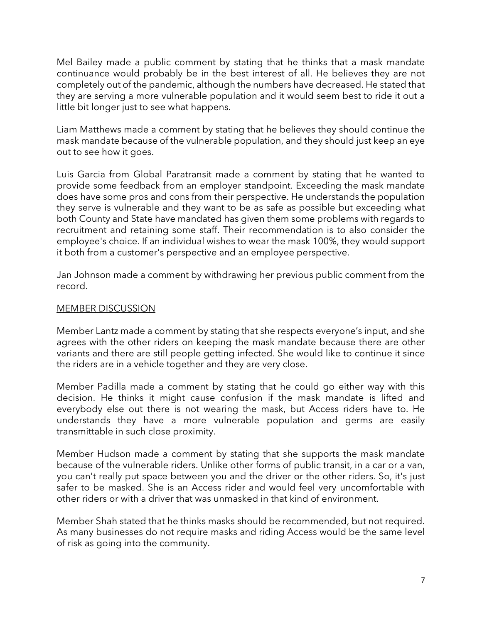Mel Bailey made a public comment by stating that he thinks that a mask mandate continuance would probably be in the best interest of all. He believes they are not completely out of the pandemic, although the numbers have decreased. He stated that they are serving a more vulnerable population and it would seem best to ride it out a little bit longer just to see what happens.

Liam Matthews made a comment by stating that he believes they should continue the mask mandate because of the vulnerable population, and they should just keep an eye out to see how it goes.

Luis Garcia from Global Paratransit made a comment by stating that he wanted to provide some feedback from an employer standpoint. Exceeding the mask mandate does have some pros and cons from their perspective. He understands the population they serve is vulnerable and they want to be as safe as possible but exceeding what both County and State have mandated has given them some problems with regards to recruitment and retaining some staff. Their recommendation is to also consider the employee's choice. If an individual wishes to wear the mask 100%, they would support it both from a customer's perspective and an employee perspective.

Jan Johnson made a comment by withdrawing her previous public comment from the record.

# MEMBER DISCUSSION

Member Lantz made a comment by stating that she respects everyone's input, and she agrees with the other riders on keeping the mask mandate because there are other variants and there are still people getting infected. She would like to continue it since the riders are in a vehicle together and they are very close.

Member Padilla made a comment by stating that he could go either way with this decision. He thinks it might cause confusion if the mask mandate is lifted and everybody else out there is not wearing the mask, but Access riders have to. He understands they have a more vulnerable population and germs are easily transmittable in such close proximity.

Member Hudson made a comment by stating that she supports the mask mandate because of the vulnerable riders. Unlike other forms of public transit, in a car or a van, you can't really put space between you and the driver or the other riders. So, it's just safer to be masked. She is an Access rider and would feel very uncomfortable with other riders or with a driver that was unmasked in that kind of environment.

Member Shah stated that he thinks masks should be recommended, but not required. As many businesses do not require masks and riding Access would be the same level of risk as going into the community.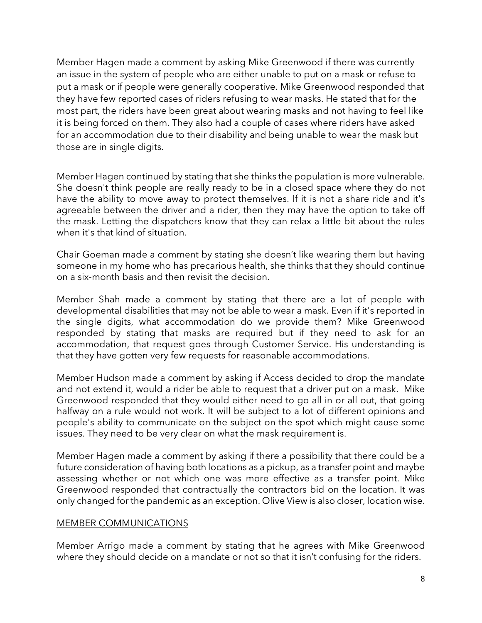Member Hagen made a comment by asking Mike Greenwood if there was currently an issue in the system of people who are either unable to put on a mask or refuse to put a mask or if people were generally cooperative. Mike Greenwood responded that they have few reported cases of riders refusing to wear masks. He stated that for the most part, the riders have been great about wearing masks and not having to feel like it is being forced on them. They also had a couple of cases where riders have asked for an accommodation due to their disability and being unable to wear the mask but those are in single digits.

Member Hagen continued by stating that she thinks the population is more vulnerable. She doesn't think people are really ready to be in a closed space where they do not have the ability to move away to protect themselves. If it is not a share ride and it's agreeable between the driver and a rider, then they may have the option to take off the mask. Letting the dispatchers know that they can relax a little bit about the rules when it's that kind of situation.

Chair Goeman made a comment by stating she doesn't like wearing them but having someone in my home who has precarious health, she thinks that they should continue on a six-month basis and then revisit the decision.

Member Shah made a comment by stating that there are a lot of people with developmental disabilities that may not be able to wear a mask. Even if it's reported in the single digits, what accommodation do we provide them? Mike Greenwood responded by stating that masks are required but if they need to ask for an accommodation, that request goes through Customer Service. His understanding is that they have gotten very few requests for reasonable accommodations.

Member Hudson made a comment by asking if Access decided to drop the mandate and not extend it, would a rider be able to request that a driver put on a mask. Mike Greenwood responded that they would either need to go all in or all out, that going halfway on a rule would not work. It will be subject to a lot of different opinions and people's ability to communicate on the subject on the spot which might cause some issues. They need to be very clear on what the mask requirement is.

Member Hagen made a comment by asking if there a possibility that there could be a future consideration of having both locations as a pickup, as a transfer point and maybe assessing whether or not which one was more effective as a transfer point. Mike Greenwood responded that contractually the contractors bid on the location. It was only changed for the pandemic as an exception. Olive View is also closer, location wise.

#### MEMBER COMMUNICATIONS

Member Arrigo made a comment by stating that he agrees with Mike Greenwood where they should decide on a mandate or not so that it isn't confusing for the riders.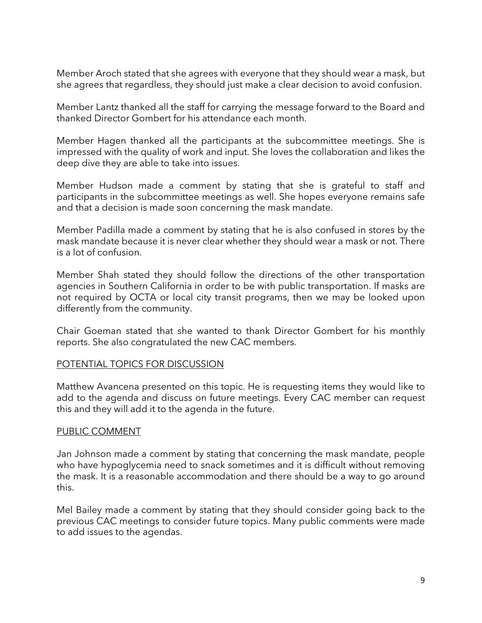Member Aroch stated that she agrees with everyone that they should wear a mask, but she agrees that regardless, they should just make a clear decision to avoid confusion.

Member Lantz thanked all the staff for carrying the message forward to the Board and thanked Director Gombert for his attendance each month.

Member Hagen thanked all the participants at the subcommittee meetings. She is impressed with the quality of work and input. She loves the collaboration and likes the deep dive they are able to take into issues.

Member Hudson made a comment by stating that she is grateful to staff and participants in the subcommittee meetings as well. She hopes everyone remains safe and that a decision is made soon concerning the mask mandate.

Member Padilla made a comment by stating that he is also confused in stores by the mask mandate because it is never clear whether they should wear a mask or not. There is a lot of confusion.

Member Shah stated they should follow the directions of the other transportation agencies in Southern California in order to be with public transportation. If masks are not required by OCTA or local city transit programs, then we may be looked upon differently from the community.

Chair Goeman stated that she wanted to thank Director Gombert for his monthly reports. She also congratulated the new CAC members.

#### POTENTIAL TOPICS FOR DISCUSSION

Matthew Avancena presented on this topic. He is requesting items they would like to add to the agenda and discuss on future meetings. Every CAC member can request this and they will add it to the agenda in the future.

#### PUBLIC COMMENT

Jan Johnson made a comment by stating that concerning the mask mandate, people who have hypoglycemia need to snack sometimes and it is difficult without removing the mask. It is a reasonable accommodation and there should be a way to go around this.

Mel Bailey made a comment by stating that they should consider going back to the previous CAC meetings to consider future topics. Many public comments were made to add issues to the agendas.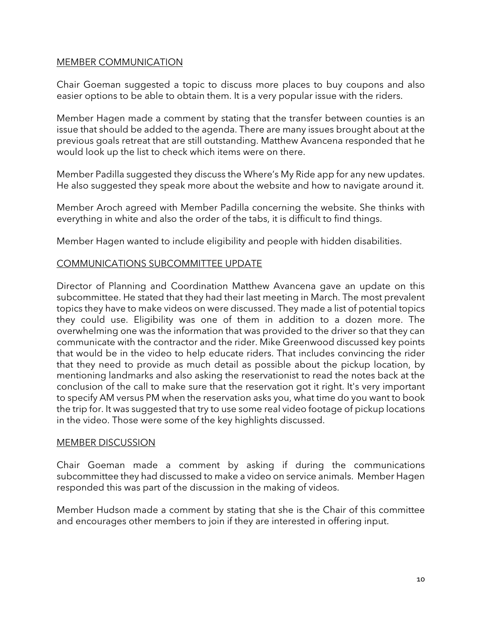#### MEMBER COMMUNICATION

Chair Goeman suggested a topic to discuss more places to buy coupons and also easier options to be able to obtain them. It is a very popular issue with the riders.

Member Hagen made a comment by stating that the transfer between counties is an issue that should be added to the agenda. There are many issues brought about at the previous goals retreat that are still outstanding. Matthew Avancena responded that he would look up the list to check which items were on there.

Member Padilla suggested they discuss the Where's My Ride app for any new updates. He also suggested they speak more about the website and how to navigate around it.

Member Aroch agreed with Member Padilla concerning the website. She thinks with everything in white and also the order of the tabs, it is difficult to find things.

Member Hagen wanted to include eligibility and people with hidden disabilities.

# COMMUNICATIONS SUBCOMMITTEE UPDATE

Director of Planning and Coordination Matthew Avancena gave an update on this subcommittee. He stated that they had their last meeting in March. The most prevalent topics they have to make videos on were discussed. They made a list of potential topics they could use. Eligibility was one of them in addition to a dozen more. The overwhelming one was the information that was provided to the driver so that they can communicate with the contractor and the rider. Mike Greenwood discussed key points that would be in the video to help educate riders. That includes convincing the rider that they need to provide as much detail as possible about the pickup location, by mentioning landmarks and also asking the reservationist to read the notes back at the conclusion of the call to make sure that the reservation got it right. It's very important to specify AM versus PM when the reservation asks you, what time do you want to book the trip for. It was suggested that try to use some real video footage of pickup locations in the video. Those were some of the key highlights discussed.

#### MEMBER DISCUSSION

Chair Goeman made a comment by asking if during the communications subcommittee they had discussed to make a video on service animals. Member Hagen responded this was part of the discussion in the making of videos.

Member Hudson made a comment by stating that she is the Chair of this committee and encourages other members to join if they are interested in offering input.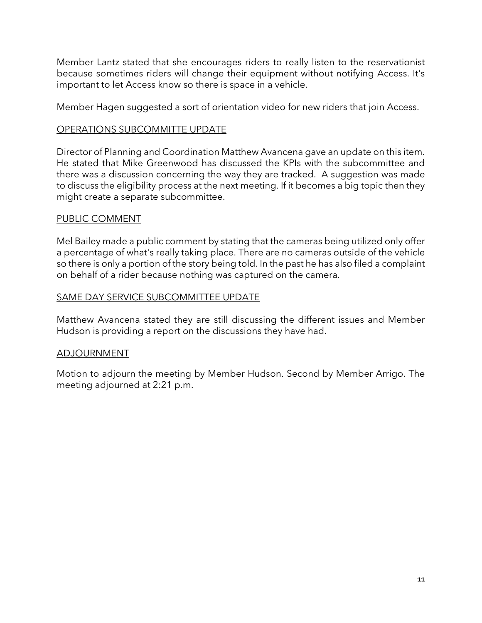Member Lantz stated that she encourages riders to really listen to the reservationist because sometimes riders will change their equipment without notifying Access. It's important to let Access know so there is space in a vehicle.

Member Hagen suggested a sort of orientation video for new riders that join Access.

# OPERATIONS SUBCOMMITTE UPDATE

Director of Planning and Coordination Matthew Avancena gave an update on this item. He stated that Mike Greenwood has discussed the KPIs with the subcommittee and there was a discussion concerning the way they are tracked. A suggestion was made to discuss the eligibility process at the next meeting. If it becomes a big topic then they might create a separate subcommittee.

# PUBLIC COMMENT

Mel Bailey made a public comment by stating that the cameras being utilized only offer a percentage of what's really taking place. There are no cameras outside of the vehicle so there is only a portion of the story being told. In the past he has also filed a complaint on behalf of a rider because nothing was captured on the camera.

# SAME DAY SERVICE SUBCOMMITTEE UPDATE

Matthew Avancena stated they are still discussing the different issues and Member Hudson is providing a report on the discussions they have had.

# ADJOURNMENT

Motion to adjourn the meeting by Member Hudson. Second by Member Arrigo. The meeting adjourned at 2:21 p.m.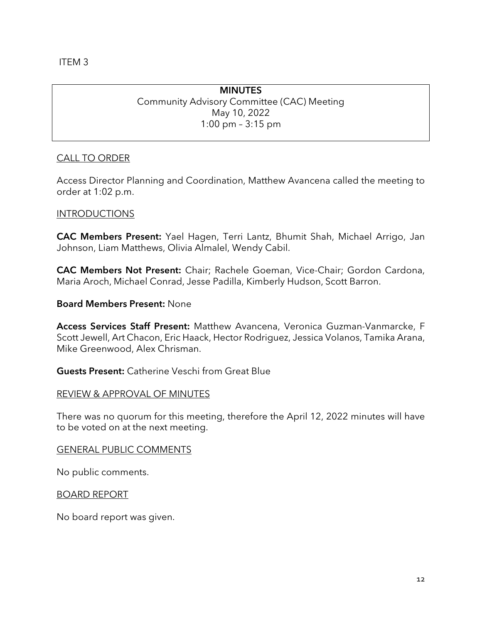ITEM 3

# **MINUTES** Community Advisory Committee (CAC) Meeting May 10, 2022 1:00 pm – 3:15 pm

# CALL TO ORDER

Access Director Planning and Coordination, Matthew Avancena called the meeting to order at 1:02 p.m.

# INTRODUCTIONS

CAC Members Present: Yael Hagen, Terri Lantz, Bhumit Shah, Michael Arrigo, Jan Johnson, Liam Matthews, Olivia Almalel, Wendy Cabil.

CAC Members Not Present: Chair; Rachele Goeman, Vice-Chair; Gordon Cardona, Maria Aroch, Michael Conrad, Jesse Padilla, Kimberly Hudson, Scott Barron.

#### Board Members Present: None

Access Services Staff Present: Matthew Avancena, Veronica Guzman-Vanmarcke, F Scott Jewell, Art Chacon, Eric Haack, Hector Rodriguez, Jessica Volanos, Tamika Arana, Mike Greenwood, Alex Chrisman.

Guests Present: Catherine Veschi from Great Blue

#### REVIEW & APPROVAL OF MINUTES

There was no quorum for this meeting, therefore the April 12, 2022 minutes will have to be voted on at the next meeting.

#### GENERAL PUBLIC COMMENTS

No public comments.

BOARD REPORT

No board report was given.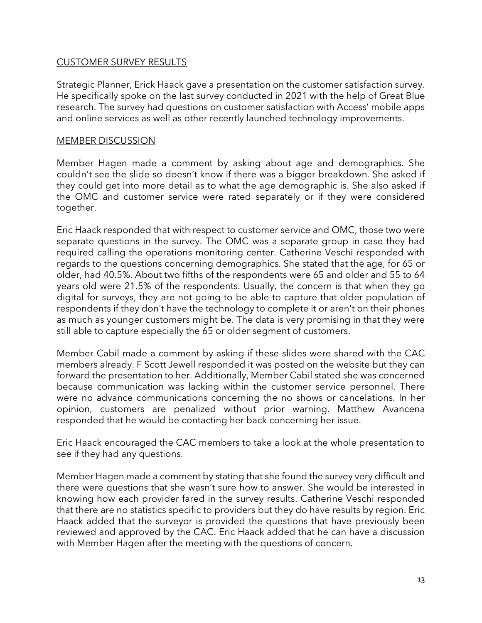## CUSTOMER SURVEY RESULTS

Strategic Planner, Erick Haack gave a presentation on the customer satisfaction survey. He specifically spoke on the last survey conducted in 2021 with the help of Great Blue research. The survey had questions on customer satisfaction with Access' mobile apps and online services as well as other recently launched technology improvements.

#### MEMBER DISCUSSION

Member Hagen made a comment by asking about age and demographics. She couldn't see the slide so doesn't know if there was a bigger breakdown. She asked if they could get into more detail as to what the age demographic is. She also asked if the OMC and customer service were rated separately or if they were considered together.

Eric Haack responded that with respect to customer service and OMC, those two were separate questions in the survey. The OMC was a separate group in case they had required calling the operations monitoring center. Catherine Veschi responded with regards to the questions concerning demographics. She stated that the age, for 65 or older, had 40.5%. About two fifths of the respondents were 65 and older and 55 to 64 years old were 21.5% of the respondents. Usually, the concern is that when they go digital for surveys, they are not going to be able to capture that older population of respondents if they don't have the technology to complete it or aren't on their phones as much as younger customers might be. The data is very promising in that they were still able to capture especially the 65 or older segment of customers.

Member Cabil made a comment by asking if these slides were shared with the CAC members already. F Scott Jewell responded it was posted on the website but they can forward the presentation to her. Additionally, Member Cabil stated she was concerned because communication was lacking within the customer service personnel. There were no advance communications concerning the no shows or cancelations. In her opinion, customers are penalized without prior warning. Matthew Avancena responded that he would be contacting her back concerning her issue.

Eric Haack encouraged the CAC members to take a look at the whole presentation to see if they had any questions.

Member Hagen made a comment by stating that she found the survey very difficult and there were questions that she wasn't sure how to answer. She would be interested in knowing how each provider fared in the survey results. Catherine Veschi responded that there are no statistics specific to providers but they do have results by region. Eric Haack added that the surveyor is provided the questions that have previously been reviewed and approved by the CAC. Eric Haack added that he can have a discussion with Member Hagen after the meeting with the questions of concern.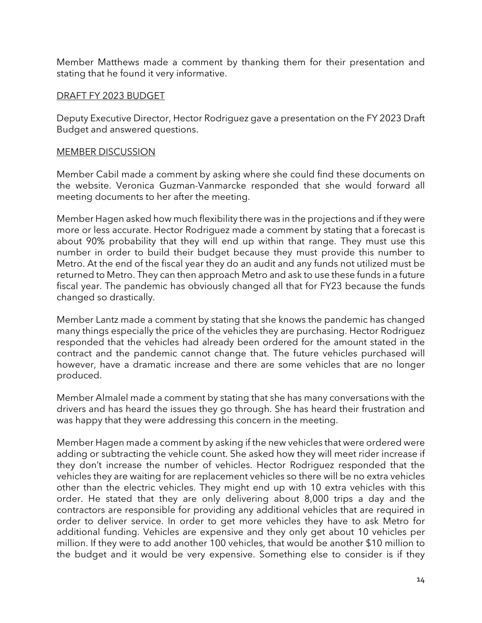Member Matthews made a comment by thanking them for their presentation and stating that he found it very informative.

#### DRAFT FY 2023 BUDGET

Deputy Executive Director, Hector Rodriguez gave a presentation on the FY 2023 Draft Budget and answered questions.

### MEMBER DISCUSSION

Member Cabil made a comment by asking where she could find these documents on the website. Veronica Guzman-Vanmarcke responded that she would forward all meeting documents to her after the meeting.

Member Hagen asked how much flexibility there was in the projections and if they were more or less accurate. Hector Rodriguez made a comment by stating that a forecast is about 90% probability that they will end up within that range. They must use this number in order to build their budget because they must provide this number to Metro. At the end of the fiscal year they do an audit and any funds not utilized must be returned to Metro. They can then approach Metro and ask to use these funds in a future fiscal year. The pandemic has obviously changed all that for FY23 because the funds changed so drastically.

Member Lantz made a comment by stating that she knows the pandemic has changed many things especially the price of the vehicles they are purchasing. Hector Rodriguez responded that the vehicles had already been ordered for the amount stated in the contract and the pandemic cannot change that. The future vehicles purchased will however, have a dramatic increase and there are some vehicles that are no longer produced.

Member Almalel made a comment by stating that she has many conversations with the drivers and has heard the issues they go through. She has heard their frustration and was happy that they were addressing this concern in the meeting.

Member Hagen made a comment by asking if the new vehicles that were ordered were adding or subtracting the vehicle count. She asked how they will meet rider increase if they don't increase the number of vehicles. Hector Rodriguez responded that the vehicles they are waiting for are replacement vehicles so there will be no extra vehicles other than the electric vehicles. They might end up with 10 extra vehicles with this order. He stated that they are only delivering about 8,000 trips a day and the contractors are responsible for providing any additional vehicles that are required in order to deliver service. In order to get more vehicles they have to ask Metro for additional funding. Vehicles are expensive and they only get about 10 vehicles per million. If they were to add another 100 vehicles, that would be another \$10 million to the budget and it would be very expensive. Something else to consider is if they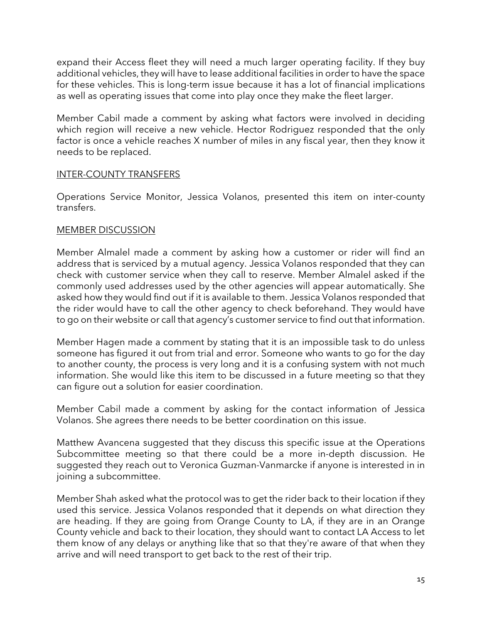expand their Access fleet they will need a much larger operating facility. If they buy additional vehicles, they will have to lease additional facilities in order to have the space for these vehicles. This is long-term issue because it has a lot of financial implications as well as operating issues that come into play once they make the fleet larger.

Member Cabil made a comment by asking what factors were involved in deciding which region will receive a new vehicle. Hector Rodriguez responded that the only factor is once a vehicle reaches X number of miles in any fiscal year, then they know it needs to be replaced.

### INTER-COUNTY TRANSFERS

Operations Service Monitor, Jessica Volanos, presented this item on inter-county transfers.

### MEMBER DISCUSSION

Member Almalel made a comment by asking how a customer or rider will find an address that is serviced by a mutual agency. Jessica Volanos responded that they can check with customer service when they call to reserve. Member Almalel asked if the commonly used addresses used by the other agencies will appear automatically. She asked how they would find out if it is available to them. Jessica Volanos responded that the rider would have to call the other agency to check beforehand. They would have to go on their website or call that agency's customer service to find out that information.

Member Hagen made a comment by stating that it is an impossible task to do unless someone has figured it out from trial and error. Someone who wants to go for the day to another county, the process is very long and it is a confusing system with not much information. She would like this item to be discussed in a future meeting so that they can figure out a solution for easier coordination.

Member Cabil made a comment by asking for the contact information of Jessica Volanos. She agrees there needs to be better coordination on this issue.

Matthew Avancena suggested that they discuss this specific issue at the Operations Subcommittee meeting so that there could be a more in-depth discussion. He suggested they reach out to Veronica Guzman-Vanmarcke if anyone is interested in in joining a subcommittee.

Member Shah asked what the protocol was to get the rider back to their location if they used this service. Jessica Volanos responded that it depends on what direction they are heading. If they are going from Orange County to LA, if they are in an Orange County vehicle and back to their location, they should want to contact LA Access to let them know of any delays or anything like that so that they're aware of that when they arrive and will need transport to get back to the rest of their trip.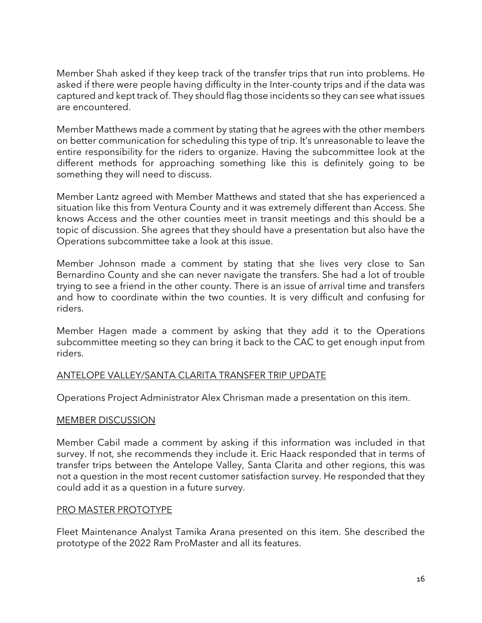Member Shah asked if they keep track of the transfer trips that run into problems. He asked if there were people having difficulty in the Inter-county trips and if the data was captured and kept track of. They should flag those incidents so they can see what issues are encountered.

Member Matthews made a comment by stating that he agrees with the other members on better communication for scheduling this type of trip. It's unreasonable to leave the entire responsibility for the riders to organize. Having the subcommittee look at the different methods for approaching something like this is definitely going to be something they will need to discuss.

Member Lantz agreed with Member Matthews and stated that she has experienced a situation like this from Ventura County and it was extremely different than Access. She knows Access and the other counties meet in transit meetings and this should be a topic of discussion. She agrees that they should have a presentation but also have the Operations subcommittee take a look at this issue.

Member Johnson made a comment by stating that she lives very close to San Bernardino County and she can never navigate the transfers. She had a lot of trouble trying to see a friend in the other county. There is an issue of arrival time and transfers and how to coordinate within the two counties. It is very difficult and confusing for riders.

Member Hagen made a comment by asking that they add it to the Operations subcommittee meeting so they can bring it back to the CAC to get enough input from riders.

# ANTELOPE VALLEY/SANTA CLARITA TRANSFER TRIP UPDATE

Operations Project Administrator Alex Chrisman made a presentation on this item.

#### MEMBER DISCUSSION

Member Cabil made a comment by asking if this information was included in that survey. If not, she recommends they include it. Eric Haack responded that in terms of transfer trips between the Antelope Valley, Santa Clarita and other regions, this was not a question in the most recent customer satisfaction survey. He responded that they could add it as a question in a future survey.

#### PRO MASTER PROTOTYPE

Fleet Maintenance Analyst Tamika Arana presented on this item. She described the prototype of the 2022 Ram ProMaster and all its features.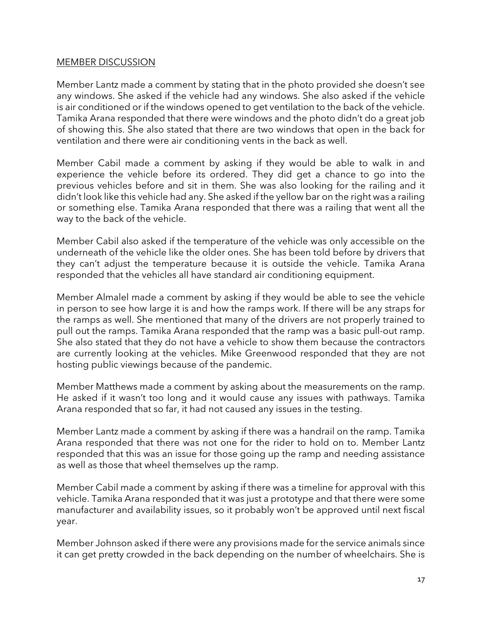#### MEMBER DISCUSSION

Member Lantz made a comment by stating that in the photo provided she doesn't see any windows. She asked if the vehicle had any windows. She also asked if the vehicle is air conditioned or if the windows opened to get ventilation to the back of the vehicle. Tamika Arana responded that there were windows and the photo didn't do a great job of showing this. She also stated that there are two windows that open in the back for ventilation and there were air conditioning vents in the back as well.

Member Cabil made a comment by asking if they would be able to walk in and experience the vehicle before its ordered. They did get a chance to go into the previous vehicles before and sit in them. She was also looking for the railing and it didn't look like this vehicle had any. She asked if the yellow bar on the right was a railing or something else. Tamika Arana responded that there was a railing that went all the way to the back of the vehicle.

Member Cabil also asked if the temperature of the vehicle was only accessible on the underneath of the vehicle like the older ones. She has been told before by drivers that they can't adjust the temperature because it is outside the vehicle. Tamika Arana responded that the vehicles all have standard air conditioning equipment.

Member Almalel made a comment by asking if they would be able to see the vehicle in person to see how large it is and how the ramps work. If there will be any straps for the ramps as well. She mentioned that many of the drivers are not properly trained to pull out the ramps. Tamika Arana responded that the ramp was a basic pull-out ramp. She also stated that they do not have a vehicle to show them because the contractors are currently looking at the vehicles. Mike Greenwood responded that they are not hosting public viewings because of the pandemic.

Member Matthews made a comment by asking about the measurements on the ramp. He asked if it wasn't too long and it would cause any issues with pathways. Tamika Arana responded that so far, it had not caused any issues in the testing.

Member Lantz made a comment by asking if there was a handrail on the ramp. Tamika Arana responded that there was not one for the rider to hold on to. Member Lantz responded that this was an issue for those going up the ramp and needing assistance as well as those that wheel themselves up the ramp.

Member Cabil made a comment by asking if there was a timeline for approval with this vehicle. Tamika Arana responded that it was just a prototype and that there were some manufacturer and availability issues, so it probably won't be approved until next fiscal year.

Member Johnson asked if there were any provisions made for the service animals since it can get pretty crowded in the back depending on the number of wheelchairs. She is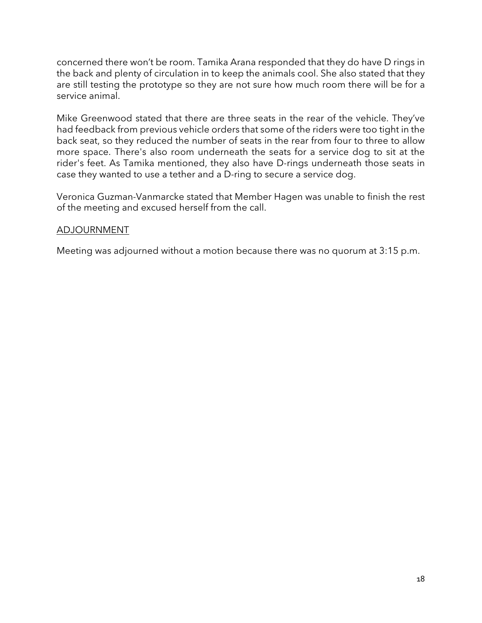concerned there won't be room. Tamika Arana responded that they do have D rings in the back and plenty of circulation in to keep the animals cool. She also stated that they are still testing the prototype so they are not sure how much room there will be for a service animal.

Mike Greenwood stated that there are three seats in the rear of the vehicle. They've had feedback from previous vehicle orders that some of the riders were too tight in the back seat, so they reduced the number of seats in the rear from four to three to allow more space. There's also room underneath the seats for a service dog to sit at the rider's feet. As Tamika mentioned, they also have D-rings underneath those seats in case they wanted to use a tether and a D-ring to secure a service dog.

Veronica Guzman-Vanmarcke stated that Member Hagen was unable to finish the rest of the meeting and excused herself from the call.

# ADJOURNMENT

Meeting was adjourned without a motion because there was no quorum at 3:15 p.m.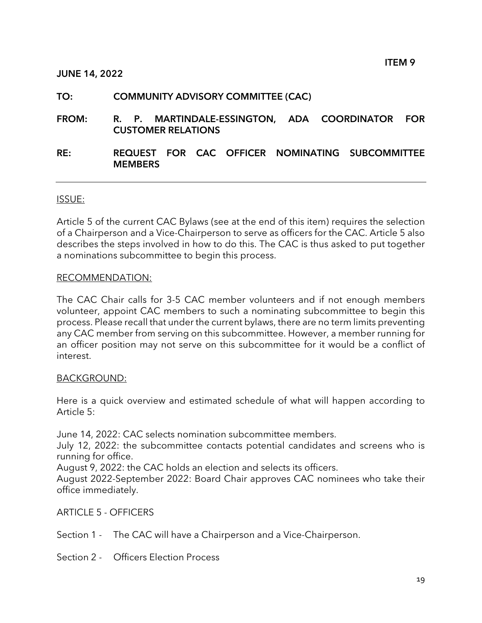#### JUNE 14, 2022

### TO: COMMUNITY ADVISORY COMMITTEE (CAC)

- FROM: R. P. MARTINDALE-ESSINGTON, ADA COORDINATOR FOR CUSTOMER RELATIONS
- RE: REQUEST FOR CAC OFFICER NOMINATING SUBCOMMITTEE **MEMBERS**

#### ISSUE:

Article 5 of the current CAC Bylaws (see at the end of this item) requires the selection of a Chairperson and a Vice-Chairperson to serve as officers for the CAC. Article 5 also describes the steps involved in how to do this. The CAC is thus asked to put together a nominations subcommittee to begin this process.

#### RECOMMENDATION:

The CAC Chair calls for 3-5 CAC member volunteers and if not enough members volunteer, appoint CAC members to such a nominating subcommittee to begin this process. Please recall that under the current bylaws, there are no term limits preventing any CAC member from serving on this subcommittee. However, a member running for an officer position may not serve on this subcommittee for it would be a conflict of interest.

#### BACKGROUND:

Here is a quick overview and estimated schedule of what will happen according to Article 5:

June 14, 2022: CAC selects nomination subcommittee members.

July 12, 2022: the subcommittee contacts potential candidates and screens who is running for office.

August 9, 2022: the CAC holds an election and selects its officers.

August 2022-September 2022: Board Chair approves CAC nominees who take their office immediately.

ARTICLE 5 - OFFICERS

Section 1 - The CAC will have a Chairperson and a Vice-Chairperson.

Section 2 - Officers Election Process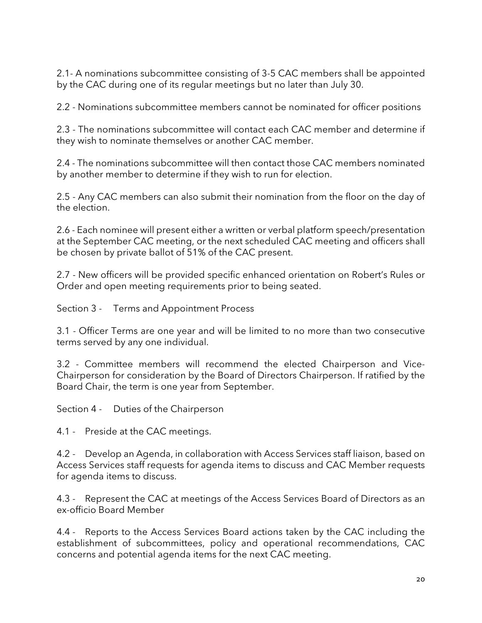2.1- A nominations subcommittee consisting of 3-5 CAC members shall be appointed by the CAC during one of its regular meetings but no later than July 30.

2.2 - Nominations subcommittee members cannot be nominated for officer positions

2.3 - The nominations subcommittee will contact each CAC member and determine if they wish to nominate themselves or another CAC member.

2.4 - The nominations subcommittee will then contact those CAC members nominated by another member to determine if they wish to run for election.

2.5 - Any CAC members can also submit their nomination from the floor on the day of the election.

2.6 - Each nominee will present either a written or verbal platform speech/presentation at the September CAC meeting, or the next scheduled CAC meeting and officers shall be chosen by private ballot of 51% of the CAC present.

2.7 - New officers will be provided specific enhanced orientation on Robert's Rules or Order and open meeting requirements prior to being seated.

Section 3 - Terms and Appointment Process

3.1 - Officer Terms are one year and will be limited to no more than two consecutive terms served by any one individual.

3.2 - Committee members will recommend the elected Chairperson and Vice-Chairperson for consideration by the Board of Directors Chairperson. If ratified by the Board Chair, the term is one year from September.

Section 4 - Duties of the Chairperson

4.1 - Preside at the CAC meetings.

4.2 - Develop an Agenda, in collaboration with Access Services staff liaison, based on Access Services staff requests for agenda items to discuss and CAC Member requests for agenda items to discuss.

4.3 - Represent the CAC at meetings of the Access Services Board of Directors as an ex-officio Board Member

4.4 - Reports to the Access Services Board actions taken by the CAC including the establishment of subcommittees, policy and operational recommendations, CAC concerns and potential agenda items for the next CAC meeting.